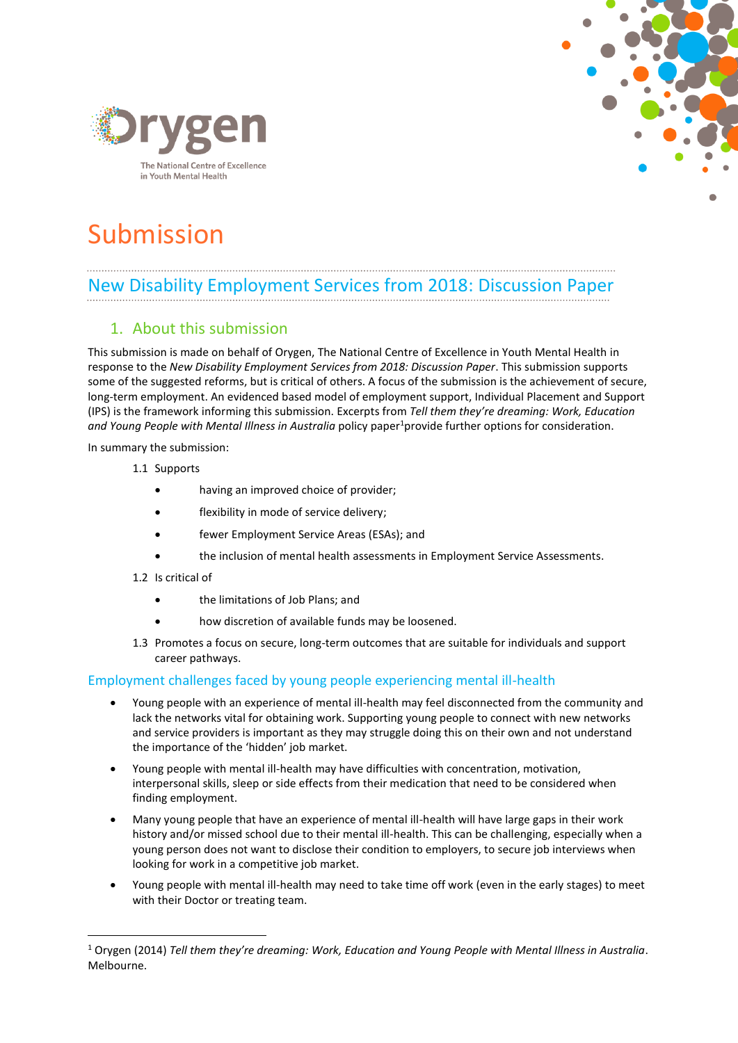



# Submission

# New Disability Employment Services from 2018: Discussion Paper

# 1. About this submission

This submission is made on behalf of Orygen, The National Centre of Excellence in Youth Mental Health in response to the *New Disability Employment Services from 2018: Discussion Paper*. This submission supports some of the suggested reforms, but is critical of others. A focus of the submission is the achievement of secure, long-term employment. An evidenced based model of employment support, Individual Placement and Support (IPS) is the framework informing this submission. Excerpts from *Tell them they're dreaming: Work, Education*  and Young People with Mental Illness in Australia policy paper<sup>1</sup>provide further options for consideration.

In summary the submission:

- 1.1 Supports
	- having an improved choice of provider;
	- flexibility in mode of service delivery;
	- fewer Employment Service Areas (ESAs); and
	- the inclusion of mental health assessments in Employment Service Assessments.
- 1.2 Is critical of

 $\overline{a}$ 

- the limitations of Job Plans; and
- how discretion of available funds may be loosened.
- 1.3 Promotes a focus on secure, long-term outcomes that are suitable for individuals and support career pathways.

#### Employment challenges faced by young people experiencing mental ill-health

- Young people with an experience of mental ill-health may feel disconnected from the community and lack the networks vital for obtaining work. Supporting young people to connect with new networks and service providers is important as they may struggle doing this on their own and not understand the importance of the 'hidden' job market.
- Young people with mental ill-health may have difficulties with concentration, motivation, interpersonal skills, sleep or side effects from their medication that need to be considered when finding employment.
- Many young people that have an experience of mental ill-health will have large gaps in their work history and/or missed school due to their mental ill-health. This can be challenging, especially when a young person does not want to disclose their condition to employers, to secure job interviews when looking for work in a competitive job market.
- Young people with mental ill-health may need to take time off work (even in the early stages) to meet with their Doctor or treating team.

<sup>1</sup> Orygen (2014) *Tell them they're dreaming: Work, Education and Young People with Mental Illness in Australia*. Melbourne.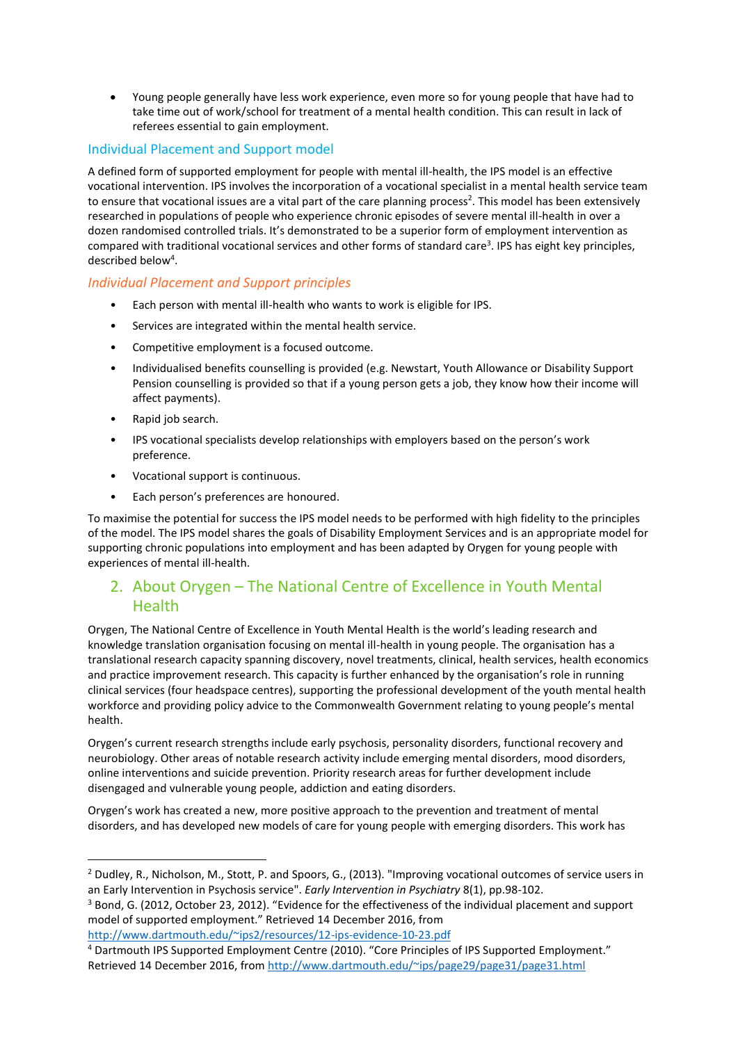Young people generally have less work experience, even more so for young people that have had to take time out of work/school for treatment of a mental health condition. This can result in lack of referees essential to gain employment.

#### Individual Placement and Support model

A defined form of supported employment for people with mental ill-health, the IPS model is an effective vocational intervention. IPS involves the incorporation of a vocational specialist in a mental health service team to ensure that vocational issues are a vital part of the care planning process<sup>2</sup>. This model has been extensively researched in populations of people who experience chronic episodes of severe mental ill-health in over a dozen randomised controlled trials. It's demonstrated to be a superior form of employment intervention as compared with traditional vocational services and other forms of standard care<sup>3</sup>. IPS has eight key principles, described below<sup>4</sup>.

#### *Individual Placement and Support principles*

- Each person with mental ill-health who wants to work is eligible for IPS.
- Services are integrated within the mental health service.
- Competitive employment is a focused outcome.
- Individualised benefits counselling is provided (e.g. Newstart, Youth Allowance or Disability Support Pension counselling is provided so that if a young person gets a job, they know how their income will affect payments).
- Rapid job search.

 $\overline{a}$ 

- IPS vocational specialists develop relationships with employers based on the person's work preference.
- Vocational support is continuous.
- Each person's preferences are honoured.

To maximise the potential for success the IPS model needs to be performed with high fidelity to the principles of the model. The IPS model shares the goals of Disability Employment Services and is an appropriate model for supporting chronic populations into employment and has been adapted by Orygen for young people with experiences of mental ill-health.

# 2. About Orygen – The National Centre of Excellence in Youth Mental Health

Orygen, The National Centre of Excellence in Youth Mental Health is the world's leading research and knowledge translation organisation focusing on mental ill-health in young people. The organisation has a translational research capacity spanning discovery, novel treatments, clinical, health services, health economics and practice improvement research. This capacity is further enhanced by the organisation's role in running clinical services (four headspace centres), supporting the professional development of the youth mental health workforce and providing policy advice to the Commonwealth Government relating to young people's mental health.

Orygen's current research strengths include early psychosis, personality disorders, functional recovery and neurobiology. Other areas of notable research activity include emerging mental disorders, mood disorders, online interventions and suicide prevention. Priority research areas for further development include disengaged and vulnerable young people, addiction and eating disorders.

Orygen's work has created a new, more positive approach to the prevention and treatment of mental disorders, and has developed new models of care for young people with emerging disorders. This work has

<http://www.dartmouth.edu/~ips2/resources/12-ips-evidence-10-23.pdf>

<sup>2</sup> Dudley, R., Nicholson, M., Stott, P. and Spoors, G., (2013). "Improving vocational outcomes of service users in an Early Intervention in Psychosis service". *Early Intervention in Psychiatry* 8(1), pp.98-102.

 $3$  Bond, G. (2012, October 23, 2012). "Evidence for the effectiveness of the individual placement and support model of supported employment." Retrieved 14 December 2016, from

<sup>4</sup> Dartmouth IPS Supported Employment Centre (2010). "Core Principles of IPS Supported Employment." Retrieved 14 December 2016, from<http://www.dartmouth.edu/~ips/page29/page31/page31.html>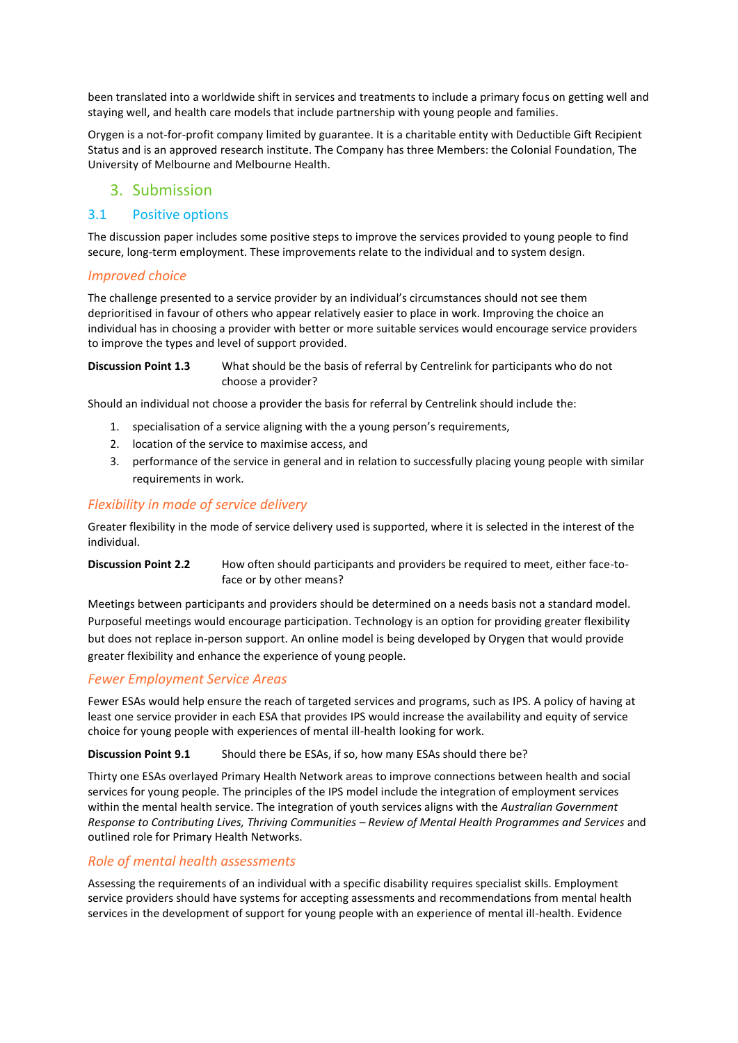been translated into a worldwide shift in services and treatments to include a primary focus on getting well and staying well, and health care models that include partnership with young people and families.

Orygen is a not-for-profit company limited by guarantee. It is a charitable entity with Deductible Gift Recipient Status and is an approved research institute. The Company has three Members: the Colonial Foundation, The University of Melbourne and Melbourne Health.

#### 3. Submission

#### 3.1 Positive options

The discussion paper includes some positive steps to improve the services provided to young people to find secure, long-term employment. These improvements relate to the individual and to system design.

#### *Improved choice*

The challenge presented to a service provider by an individual's circumstances should not see them deprioritised in favour of others who appear relatively easier to place in work. Improving the choice an individual has in choosing a provider with better or more suitable services would encourage service providers to improve the types and level of support provided.

**Discussion Point 1.3** What should be the basis of referral by Centrelink for participants who do not choose a provider?

Should an individual not choose a provider the basis for referral by Centrelink should include the:

- 1. specialisation of a service aligning with the a young person's requirements,
- 2. location of the service to maximise access, and
- 3. performance of the service in general and in relation to successfully placing young people with similar requirements in work.

#### *Flexibility in mode of service delivery*

Greater flexibility in the mode of service delivery used is supported, where it is selected in the interest of the individual.

**Discussion Point 2.2** How often should participants and providers be required to meet, either face-toface or by other means?

Meetings between participants and providers should be determined on a needs basis not a standard model. Purposeful meetings would encourage participation. Technology is an option for providing greater flexibility but does not replace in-person support. An online model is being developed by Orygen that would provide greater flexibility and enhance the experience of young people.

#### *Fewer Employment Service Areas*

Fewer ESAs would help ensure the reach of targeted services and programs, such as IPS. A policy of having at least one service provider in each ESA that provides IPS would increase the availability and equity of service choice for young people with experiences of mental ill-health looking for work.

#### **Discussion Point 9.1** Should there be ESAs, if so, how many ESAs should there be?

Thirty one ESAs overlayed Primary Health Network areas to improve connections between health and social services for young people. The principles of the IPS model include the integration of employment services within the mental health service. The integration of youth services aligns with the *Australian Government Response to Contributing Lives, Thriving Communities – Review of Mental Health Programmes and Services* and outlined role for Primary Health Networks.

#### *Role of mental health assessments*

Assessing the requirements of an individual with a specific disability requires specialist skills. Employment service providers should have systems for accepting assessments and recommendations from mental health services in the development of support for young people with an experience of mental ill-health. Evidence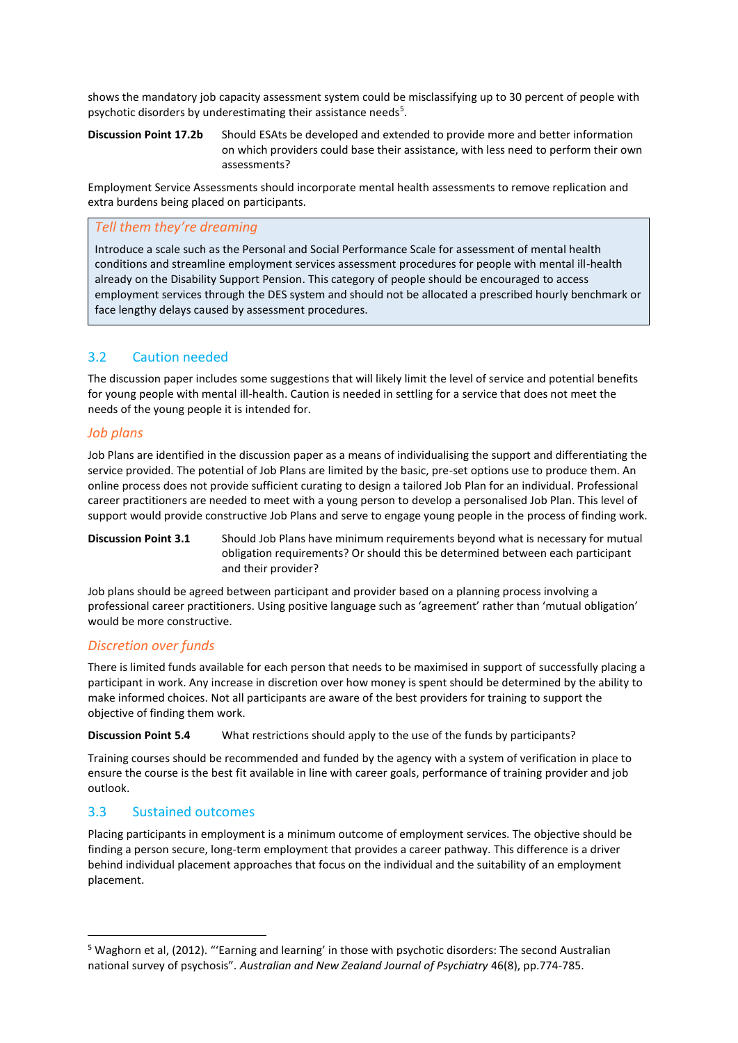shows the mandatory job capacity assessment system could be misclassifying up to 30 percent of people with psychotic disorders by underestimating their assistance needs<sup>5</sup>.

#### **Discussion Point 17.2b** Should ESAts be developed and extended to provide more and better information on which providers could base their assistance, with less need to perform their own assessments?

Employment Service Assessments should incorporate mental health assessments to remove replication and extra burdens being placed on participants.

#### *Tell them they're dreaming*

Introduce a scale such as the Personal and Social Performance Scale for assessment of mental health conditions and streamline employment services assessment procedures for people with mental ill-health already on the Disability Support Pension. This category of people should be encouraged to access employment services through the DES system and should not be allocated a prescribed hourly benchmark or face lengthy delays caused by assessment procedures.

### 3.2 Caution needed

The discussion paper includes some suggestions that will likely limit the level of service and potential benefits for young people with mental ill-health. Caution is needed in settling for a service that does not meet the needs of the young people it is intended for.

#### *Job plans*

Job Plans are identified in the discussion paper as a means of individualising the support and differentiating the service provided. The potential of Job Plans are limited by the basic, pre-set options use to produce them. An online process does not provide sufficient curating to design a tailored Job Plan for an individual. Professional career practitioners are needed to meet with a young person to develop a personalised Job Plan. This level of support would provide constructive Job Plans and serve to engage young people in the process of finding work.

**Discussion Point 3.1** Should Job Plans have minimum requirements beyond what is necessary for mutual obligation requirements? Or should this be determined between each participant and their provider?

Job plans should be agreed between participant and provider based on a planning process involving a professional career practitioners. Using positive language such as 'agreement' rather than 'mutual obligation' would be more constructive.

#### *Discretion over funds*

There is limited funds available for each person that needs to be maximised in support of successfully placing a participant in work. Any increase in discretion over how money is spent should be determined by the ability to make informed choices. Not all participants are aware of the best providers for training to support the objective of finding them work.

**Discussion Point 5.4** What restrictions should apply to the use of the funds by participants?

Training courses should be recommended and funded by the agency with a system of verification in place to ensure the course is the best fit available in line with career goals, performance of training provider and job outlook.

#### 3.3 Sustained outcomes

 $\overline{a}$ 

Placing participants in employment is a minimum outcome of employment services. The objective should be finding a person secure, long-term employment that provides a career pathway. This difference is a driver behind individual placement approaches that focus on the individual and the suitability of an employment placement.

<sup>5</sup> Waghorn et al, (2012). "'Earning and learning' in those with psychotic disorders: The second Australian national survey of psychosis". *Australian and New Zealand Journal of Psychiatry* 46(8), pp.774-785.